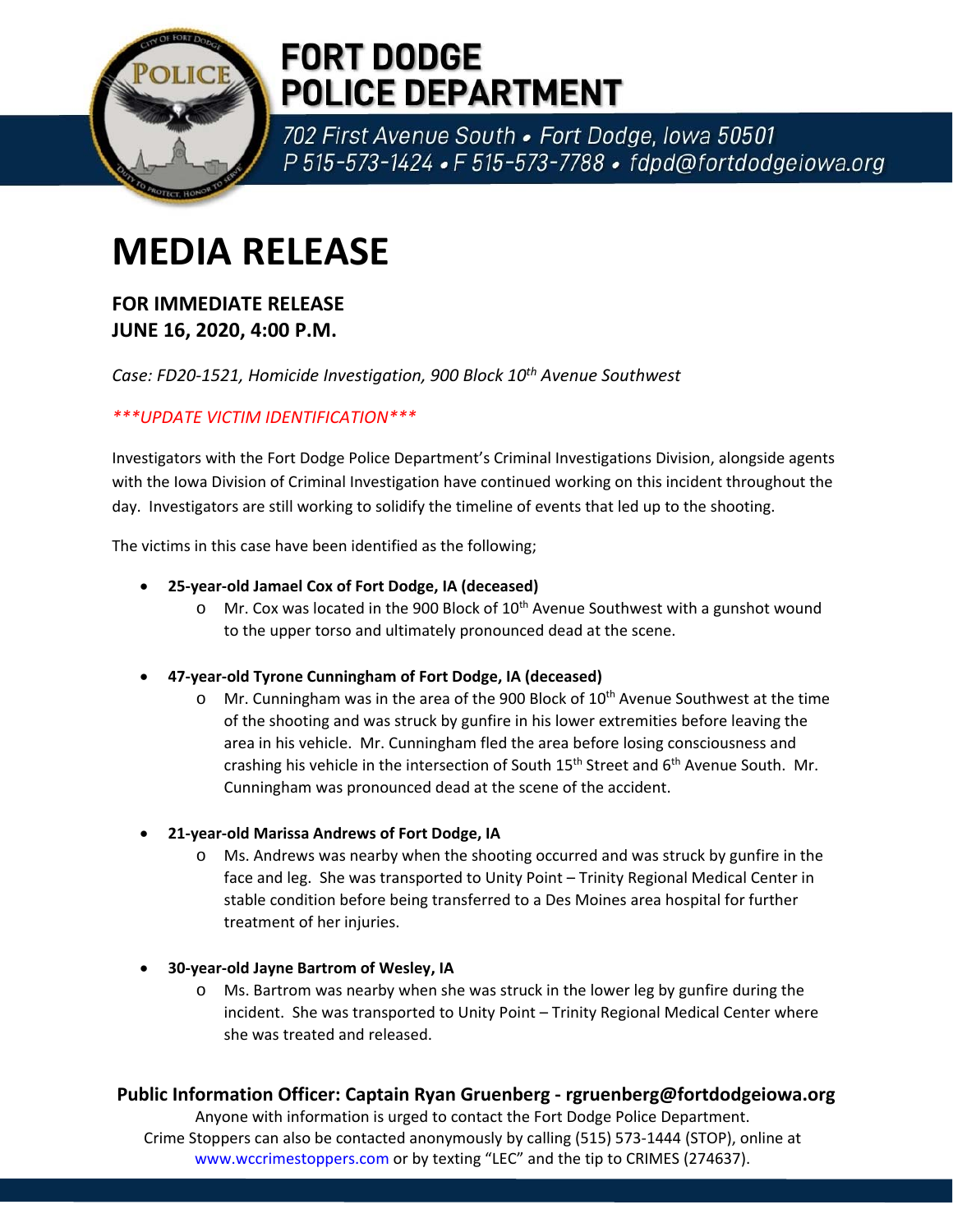

## **FORT DODGE POLICE DEPARTMENT**

702 First Avenue South . Fort Dodge, Iowa 50501 P 515-573-1424 • F 515-573-7788 • fdpd@fortdodgeiowa.org

# **MEDIA RELEASE**

### **FOR IMMEDIATE RELEASE JUNE 16, 2020, 4:00 P.M.**

*Case: FD20‐1521, Homicide Investigation, 900 Block 10th Avenue Southwest*

#### *\*\*\*UPDATE VICTIM IDENTIFICATION\*\*\**

Investigators with the Fort Dodge Police Department's Criminal Investigations Division, alongside agents with the Iowa Division of Criminal Investigation have continued working on this incident throughout the day. Investigators are still working to solidify the timeline of events that led up to the shooting.

The victims in this case have been identified as the following;

- **25‐year‐old Jamael Cox of Fort Dodge, IA (deceased)**
	- $\circ$  Mr. Cox was located in the 900 Block of 10<sup>th</sup> Avenue Southwest with a gunshot wound to the upper torso and ultimately pronounced dead at the scene.
- **47‐year‐old Tyrone Cunningham of Fort Dodge, IA (deceased)**
	- o Mr. Cunningham was in the area of the 900 Block of  $10^{th}$  Avenue Southwest at the time of the shooting and was struck by gunfire in his lower extremities before leaving the area in his vehicle. Mr. Cunningham fled the area before losing consciousness and crashing his vehicle in the intersection of South  $15<sup>th</sup>$  Street and  $6<sup>th</sup>$  Avenue South. Mr. Cunningham was pronounced dead at the scene of the accident.
- **21‐year‐old Marissa Andrews of Fort Dodge, IA**
	- o Ms. Andrews was nearby when the shooting occurred and was struck by gunfire in the face and leg. She was transported to Unity Point – Trinity Regional Medical Center in stable condition before being transferred to a Des Moines area hospital for further treatment of her injuries.
- **30‐year‐old Jayne Bartrom of Wesley, IA** 
	- o Ms. Bartrom was nearby when she was struck in the lower leg by gunfire during the incident. She was transported to Unity Point – Trinity Regional Medical Center where she was treated and released.

#### **Public Information Officer: Captain Ryan Gruenberg ‐ rgruenberg@fortdodgeiowa.org**

Anyone with information is urged to contact the Fort Dodge Police Department. Crime Stoppers can also be contacted anonymously by calling (515) 573‐1444 (STOP), online at www.wccrimestoppers.com or by texting "LEC" and the tip to CRIMES (274637).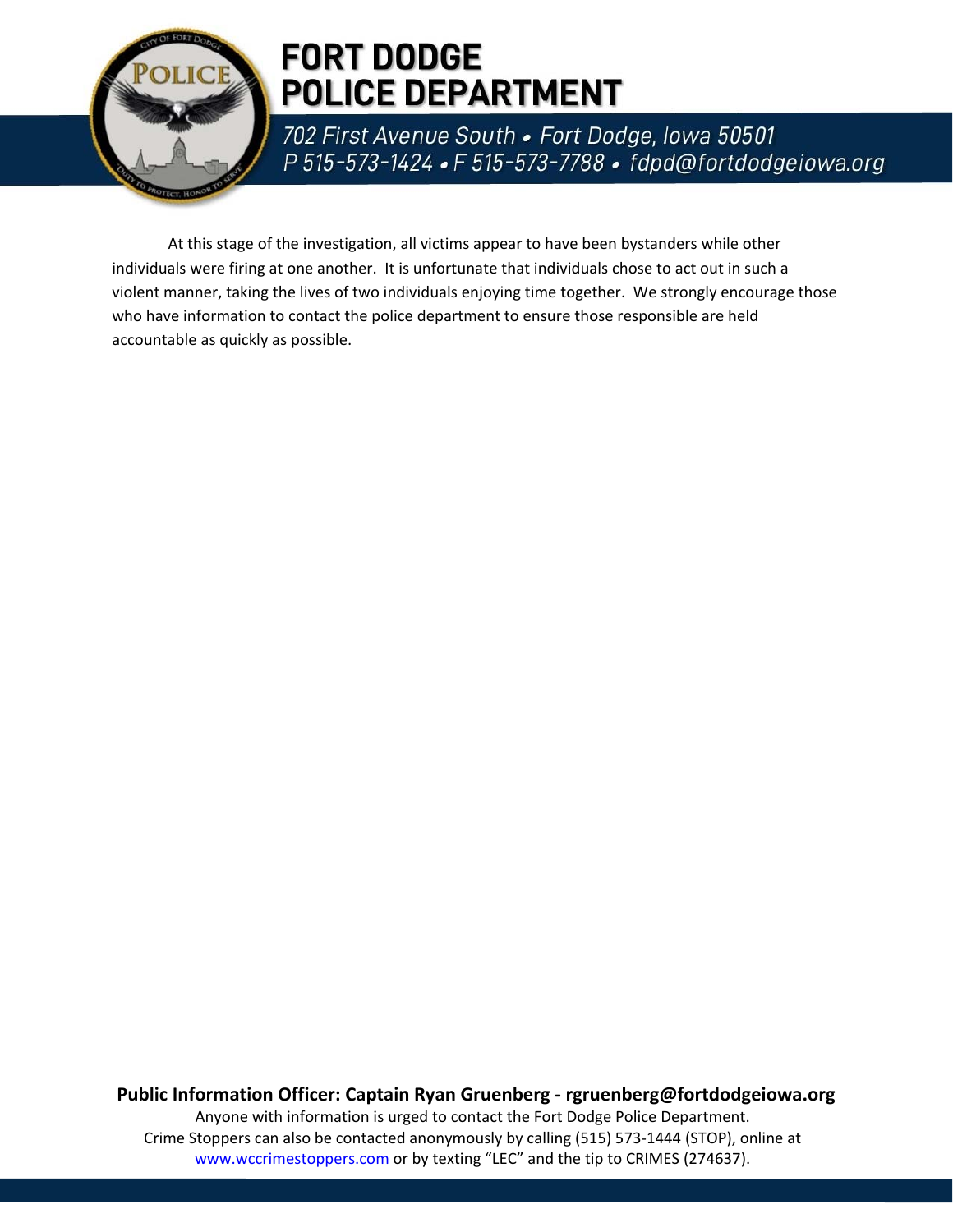

## **FORT DODGE POLICE DEPARTMENT**

702 First Avenue South . Fort Dodge, Iowa 50501 P 515-573-1424 • F 515-573-7788 • fdpd@fortdodgeiowa.org

At this stage of the investigation, all victims appear to have been bystanders while other individuals were firing at one another. It is unfortunate that individuals chose to act out in such a violent manner, taking the lives of two individuals enjoying time together. We strongly encourage those who have information to contact the police department to ensure those responsible are held accountable as quickly as possible.

**Public Information Officer: Captain Ryan Gruenberg ‐ rgruenberg@fortdodgeiowa.org** Anyone with information is urged to contact the Fort Dodge Police Department. Crime Stoppers can also be contacted anonymously by calling (515) 573‐1444 (STOP), online at www.wccrimestoppers.com or by texting "LEC" and the tip to CRIMES (274637).